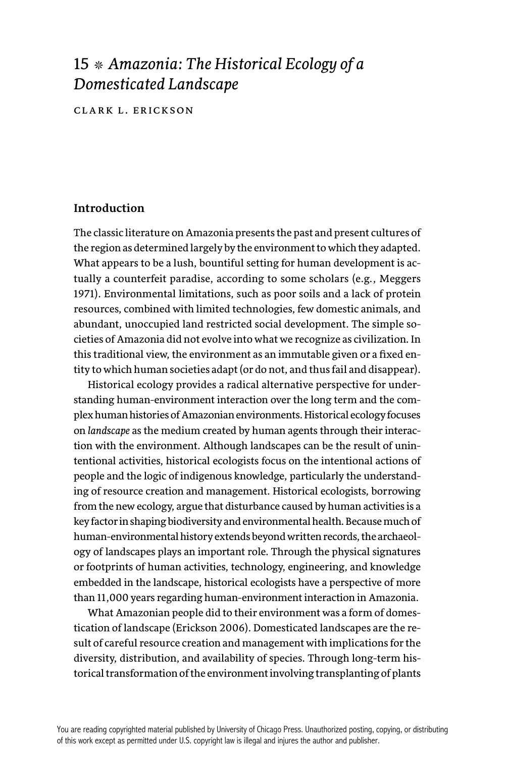# 15 *Amazonia: The Historical Ecology of a Domesticated Landscape*

clark l. erickson

# **Introduction**

The classic literature on Amazonia presents the past and present cultures of the region as determined largely by the environment to which they adapted. What appears to be a lush, bountiful setting for human development is actually a counterfeit paradise, according to some scholars (e.g., Meggers 1971). Environmental limitations, such as poor soils and a lack of protein resources, combined with limited technologies, few domestic animals, and abundant, unoccupied land restricted social development. The simple societies of Amazonia did not evolve into what we recognize as civilization. In this traditional view, the environment as an immutable given or a fixed entity to which human societies adapt (or do not, and thus fail and disappear).

Historical ecology provides a radical alternative perspective for understanding human- environment interaction over the long term and the complex human histories of Amazonian environments. Historical ecology focuses on *landscape* as the medium created by human agents through their interaction with the environment. Although landscapes can be the result of unintentional activities, historical ecologists focus on the intentional actions of people and the logic of indigenous knowledge, particularly the understanding of resource creation and management. Historical ecologists, borrowing from the new ecology, argue that disturbance caused by human activities is a key factor in shaping biodiversity and environmental health. Because much of human-environmental history extends beyond written records, the archaeology of landscapes plays an important role. Through the physical signatures or footprints of human activities, technology, engineering, and knowledge embedded in the landscape, historical ecologists have a perspective of more than 11,000 years regarding human- environment interaction in Amazonia.

What Amazonian people did to their environment was a form of domestication of landscape (Erickson 2006). Domesticated landscapes are the result of careful resource creation and management with implications for the diversity, distribution, and availability of species. Through long- term historical transformation of the environment involving transplanting of plants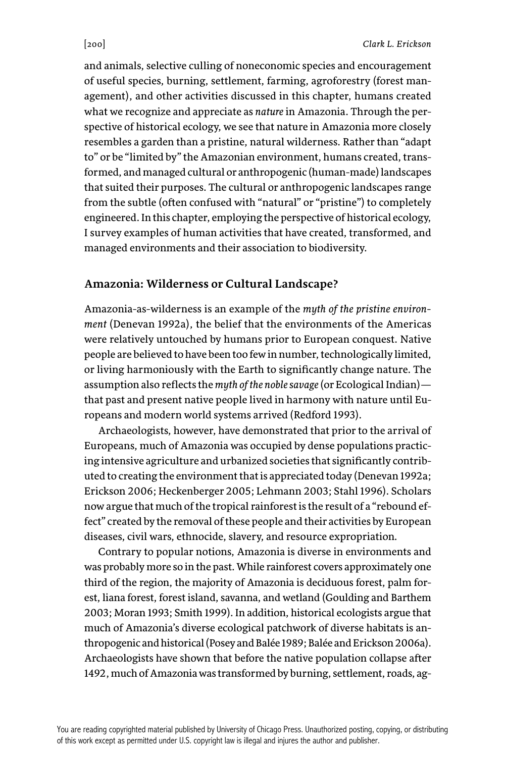and animals, selective culling of noneconomic species and encouragement of useful species, burning, settlement, farming, agroforestry (forest management), and other activities discussed in this chapter, humans created what we recognize and appreciate as *nature* in Amazonia. Through the perspective of historical ecology, we see that nature in Amazonia more closely resembles a garden than a pristine, natural wilderness. Rather than "adapt to" or be "limited by" the Amazonian environment, humans created, transformed, and managed cultural or anthropogenic (human- made) landscapes that suited their purposes. The cultural or anthropogenic landscapes range from the subtle (often confused with "natural" or "pristine") to completely engineered. In this chapter, employing the perspective of historical ecology, I survey examples of human activities that have created, transformed, and managed environments and their association to biodiversity.

# **Amazonia: Wilderness or Cultural Landscape?**

Amazonia- as- wilderness is an example of the *myth of the pristine environment* (Denevan 1992a), the belief that the environments of the Americas were relatively untouched by humans prior to European conquest. Native people are believed to have been too few in number, technologically limited, or living harmoniously with the Earth to significantly change nature. The assumption also reflects the *myth of the noble savage* (or Ecological Indian) that past and present native people lived in harmony with nature until Europeans and modern world systems arrived (Redford 1993).

Archaeologists, however, have demonstrated that prior to the arrival of Europeans, much of Amazonia was occupied by dense populations practicing intensive agriculture and urbanized societies that significantly contributed to creating the environment that is appreciated today (Denevan 1992a; Erickson 2006; Heckenberger 2005; Lehmann 2003; Stahl 1996). Scholars now argue that much of the tropical rainforest is the result of a "rebound effect" created by the removal of these people and their activities by European diseases, civil wars, ethnocide, slavery, and resource expropriation.

Contrary to popular notions, Amazonia is diverse in environments and was probably more so in the past. While rainforest covers approximately one third of the region, the majority of Amazonia is deciduous forest, palm forest, liana forest, forest island, savanna, and wetland (Goulding and Barthem 2003; Moran 1993; Smith 1999). In addition, historical ecologists argue that much of Amazonia's diverse ecological patchwork of diverse habitats is anthropogenic and historical (Posey and Balée 1989; Balée and Erickson 2006a). Archaeologists have shown that before the native population collapse after 1492, much of Amazonia was transformed by burning, settlement, roads, ag-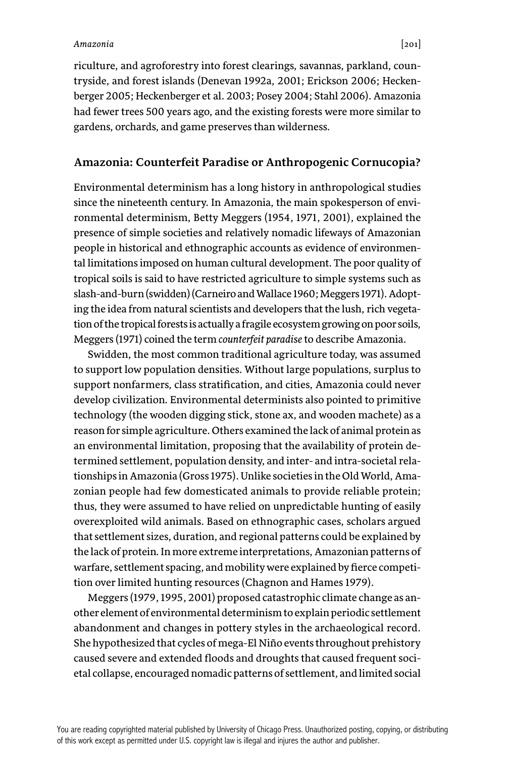riculture, and agroforestry into forest clearings, savannas, parkland, countryside, and forest islands (Denevan 1992a, 2001; Erickson 2006; Heckenberger 2005; Heckenberger et al. 2003; Posey 2004; Stahl 2006). Amazonia had fewer trees 500 years ago, and the existing forests were more similar to gardens, orchards, and game preserves than wilderness.

# **Amazonia: Counterfeit Paradise or Anthropogenic Cornucopia?**

Environmental determinism has a long history in anthropological studies since the nineteenth century. In Amazonia, the main spokesperson of environmental determinism, Betty Meggers (1954, 1971, 2001), explained the presence of simple societies and relatively nomadic lifeways of Amazonian people in historical and ethnographic accounts as evidence of environmental limitations imposed on human cultural development. The poor quality of tropical soils is said to have restricted agriculture to simple systems such as slash- and- burn (swidden) (Carneiro and Wallace 1960; Meggers 1971). Adopting the idea from natural scientists and developers that the lush, rich vegetation of the tropical forests is actually a fragile ecosystem growing on poor soils, Meggers (1971) coined the term *counterfeit paradise* to describe Amazonia.

Swidden, the most common traditional agriculture today, was assumed to support low population densities. Without large populations, surplus to support nonfarmers, class stratification, and cities, Amazonia could never develop civilization. Environmental determinists also pointed to primitive technology (the wooden digging stick, stone ax, and wooden machete) as a reason for simple agriculture. Others examined the lack of animal protein as an environmental limitation, proposing that the availability of protein determined settlement, population density, and inter- and intra-societal relationships in Amazonia (Gross 1975). Unlike societies in the Old World, Amazonian people had few domesticated animals to provide reliable protein; thus, they were assumed to have relied on unpredictable hunting of easily overexploited wild animals. Based on ethnographic cases, scholars argued that settlement sizes, duration, and regional patterns could be explained by the lack of protein. In more extreme interpretations, Amazonian patterns of warfare, settlement spacing, and mobility were explained by fierce competition over limited hunting resources (Chagnon and Hames 1979).

Meggers (1979, 1995, 2001) proposed catastrophic climate change as another element of environmental determinism to explain periodic settlement abandonment and changes in pottery styles in the archaeological record. She hypothesized that cycles of mega- El Niño events throughout prehistory caused severe and extended floods and droughts that caused frequent societal collapse, encouraged nomadic patterns of settlement, and limited social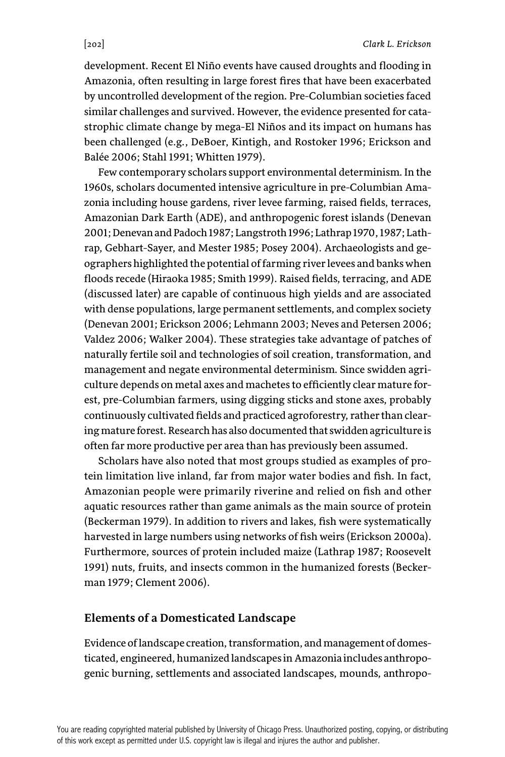### [202] *Clark L. Erickson*

development. Recent El Niño events have caused droughts and flooding in Amazonia, often resulting in large forest fires that have been exacerbated by uncontrolled development of the region. Pre- Columbian societies faced similar challenges and survived. However, the evidence presented for catastrophic climate change by mega- El Niños and its impact on humans has been challenged (e.g., DeBoer, Kintigh, and Rostoker 1996; Erickson and Balée 2006; Stahl 1991; Whitten 1979).

Few contemporary scholars support environmental determinism. In the 1960s, scholars documented intensive agriculture in pre- Columbian Amazonia including house gardens, river levee farming, raised fields, terraces, Amazonian Dark Earth (ADE), and anthropogenic forest islands (Denevan 2001; Denevan and Padoch 1987; Langstroth 1996; Lathrap 1970, 1987; Lathrap, Gebhart- Sayer, and Mester 1985; Posey 2004). Archaeologists and geographers highlighted the potential of farming river levees and banks when floods recede (Hiraoka 1985; Smith 1999). Raised fields, terracing, and ADE (discussed later) are capable of continuous high yields and are associated with dense populations, large permanent settlements, and complex society (Denevan 2001; Erickson 2006; Lehmann 2003; Neves and Petersen 2006; Valdez 2006; Walker 2004). These strategies take advantage of patches of naturally fertile soil and technologies of soil creation, transformation, and management and negate environmental determinism. Since swidden agriculture depends on metal axes and machetes to efficiently clear mature forest, pre-Columbian farmers, using digging sticks and stone axes, probably continuously cultivated fields and practiced agroforestry, rather than clearing mature forest. Research has also documented that swidden agriculture is often far more productive per area than has previously been assumed.

Scholars have also noted that most groups studied as examples of protein limitation live inland, far from major water bodies and fish. In fact, Amazonian people were primarily riverine and relied on fish and other aquatic resources rather than game animals as the main source of protein (Beckerman 1979). In addition to rivers and lakes, fish were systematically harvested in large numbers using networks of fish weirs (Erickson 2000a). Furthermore, sources of protein included maize (Lathrap 1987; Roosevelt 1991) nuts, fruits, and insects common in the humanized forests (Beckerman 1979; Clement 2006).

# **Elements of a Domesticated Landscape**

Evidence of landscape creation, transformation, and management of domesticated, engineered, humanized landscapes in Amazonia includes anthropogenic burning, settlements and associated landscapes, mounds, anthropo-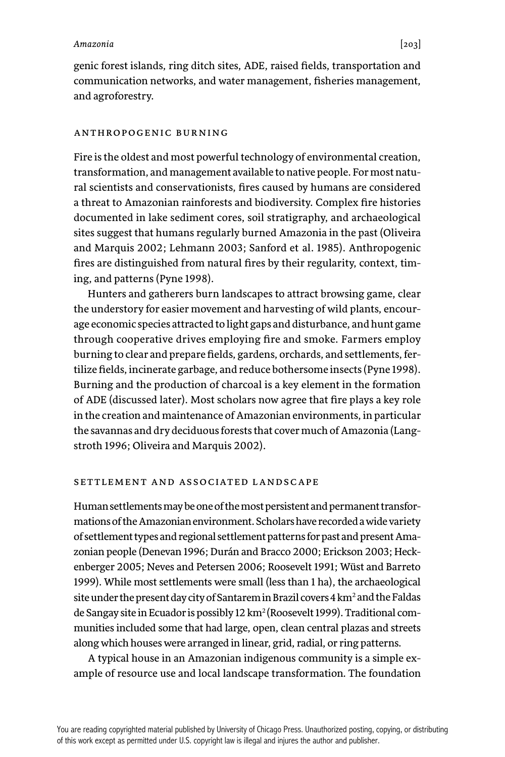genic forest islands, ring ditch sites, ADE, raised fields, transportation and communication networks, and water management, fisheries management, and agroforestry.

# anthropogenic burning

Fire is the oldest and most powerful technology of environmental creation, transformation, and management available to native people. For most natural scientists and conservationists, fires caused by humans are considered a threat to Amazonian rainforests and biodiversity. Complex fire histories documented in lake sediment cores, soil stratigraphy, and archaeological sites suggest that humans regularly burned Amazonia in the past (Oliveira and Marquis 2002; Lehmann 2003; Sanford et al. 1985). Anthropogenic fires are distinguished from natural fires by their regularity, context, timing, and patterns (Pyne 1998).

Hunters and gatherers burn landscapes to attract browsing game, clear the understory for easier movement and harvesting of wild plants, encourage economic species attracted to light gaps and disturbance, and hunt game through cooperative drives employing fire and smoke. Farmers employ burning to clear and prepare fields, gardens, orchards, and settlements, fertilize fields, incinerate garbage, and reduce bothersome insects (Pyne 1998). Burning and the production of charcoal is a key element in the formation of ADE (discussed later). Most scholars now agree that fire plays a key role in the creation and maintenance of Amazonian environments, in particular the savannas and dry deciduous forests that cover much of Amazonia (Langstroth 1996; Oliveira and Marquis 2002).

## settlement and associated landscape

Human settlements may be one of the most persistent and permanent transformations of the Amazonian environment. Scholars have recorded a wide variety of settlement types and regional settlement patterns for past and present Amazonian people (Denevan 1996; Durán and Bracco 2000; Erickson 2003; Heckenberger 2005; Neves and Petersen 2006; Roosevelt 1991; Wüst and Barreto 1999). While most settlements were small (less than 1 ha), the archaeological site under the present day city of Santarem in Brazil covers 4 km<sup>2</sup> and the Faldas de Sangay site in Ecuador is possibly 12 km2 (Roosevelt 1999). Traditional communities included some that had large, open, clean central plazas and streets along which houses were arranged in linear, grid, radial, or ring patterns.

A typical house in an Amazonian indigenous community is a simple example of resource use and local landscape transformation. The foundation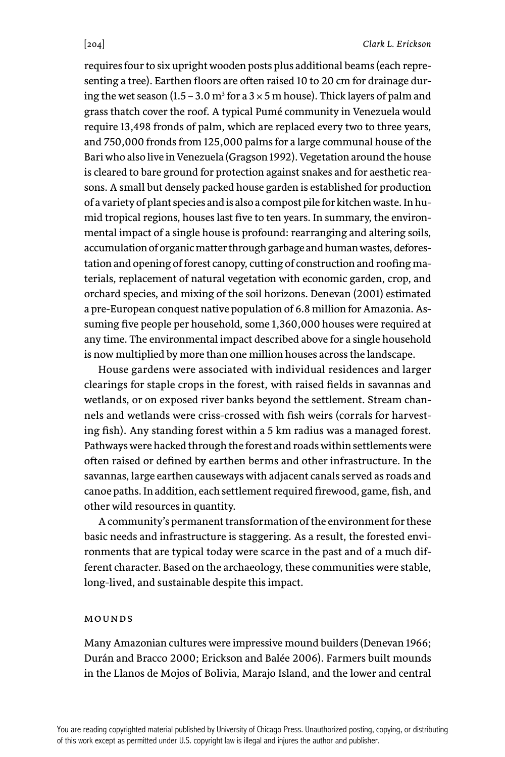requires four to six upright wooden posts plus additional beams (each representing a tree). Earthen floors are often raised 10 to 20 cm for drainage during the wet season (1.5 – 3.0  $\text{m}^3$  for a 3  $\times$  5  $\text{m}$  house). Thick layers of palm and grass thatch cover the roof. A typical Pumé community in Venezuela would require 13,498 fronds of palm, which are replaced every two to three years, and 750,000 fronds from 125,000 palms for a large communal house of the Bari who also live in Venezuela (Gragson 1992). Vegetation around the house is cleared to bare ground for protection against snakes and for aesthetic reasons. A small but densely packed house garden is established for production of a variety of plant species and is also a compost pile for kitchen waste. In humid tropical regions, houses last five to ten years. In summary, the environmental impact of a single house is profound: rearranging and altering soils, accumulation of organic matter through garbage and human wastes, deforestation and opening of forest canopy, cutting of construction and roofing materials, replacement of natural vegetation with economic garden, crop, and orchard species, and mixing of the soil horizons. Denevan (2001) estimated a pre- European conquest native population of 6.8 million for Amazonia. Assuming five people per household, some 1,360,000 houses were required at any time. The environmental impact described above for a single household is now multiplied by more than one million houses across the landscape.

House gardens were associated with individual residences and larger clearings for staple crops in the forest, with raised fields in savannas and wetlands, or on exposed river banks beyond the settlement. Stream channels and wetlands were criss-crossed with fish weirs (corrals for harvesting fish). Any standing forest within a 5 km radius was a managed forest. Pathways were hacked through the forest and roads within settlements were often raised or defined by earthen berms and other infrastructure. In the savannas, large earthen causeways with adjacent canals served as roads and canoe paths. In addition, each settlement required firewood, game, fish, and other wild resources in quantity.

A community's permanent transformation of the environment for these basic needs and infrastructure is staggering. As a result, the forested environments that are typical today were scarce in the past and of a much different character. Based on the archaeology, these communities were stable, long- lived, and sustainable despite this impact.

# mounds

Many Amazonian cultures were impressive mound builders (Denevan 1966; Durán and Bracco 2000; Erickson and Balée 2006). Farmers built mounds in the Llanos de Mojos of Bolivia, Marajo Island, and the lower and central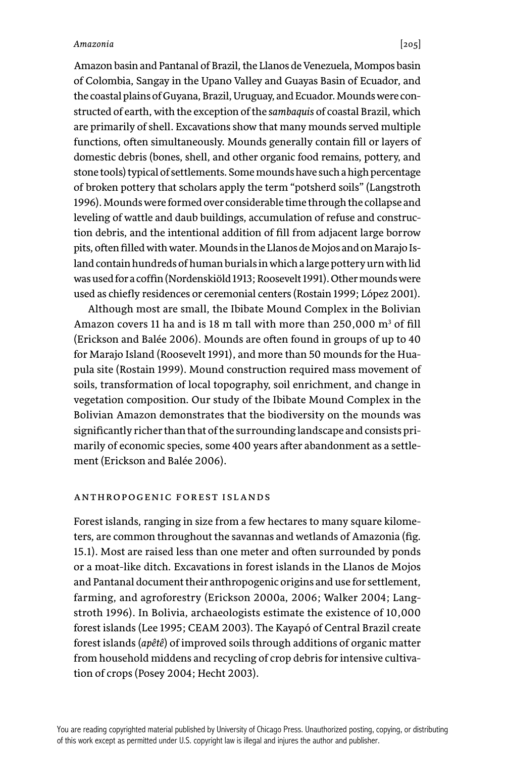#### *Amazonia* [205]

Amazon basin and Pantanal of Brazil, the Llanos de Venezuela, Mompos basin of Colombia, Sangay in the Upano Valley and Guayas Basin of Ecuador, and the coastal plains of Guyana, Brazil, Uruguay, and Ecuador. Mounds were constructed of earth, with the exception of the *sambaquis* of coastal Brazil, which are primarily of shell. Excavations show that many mounds served multiple functions, often simultaneously. Mounds generally contain fill or layers of domestic debris (bones, shell, and other organic food remains, pottery, and stone tools) typical of settlements. Some mounds have such a high percentage of broken pottery that scholars apply the term "potsherd soils" (Langstroth 1996). Mounds were formed over considerable time through the collapse and leveling of wattle and daub buildings, accumulation of refuse and construction debris, and the intentional addition of fill from adjacent large borrow pits, often filled with water. Mounds in the Llanos de Mojos and on Marajo Island contain hundreds of human burials in which a large pottery urn with lid was used for a coffin (Nordenskiöld 1913; Roosevelt 1991). Other mounds were used as chiefly residences or ceremonial centers (Rostain 1999; López 2001).

Although most are small, the Ibibate Mound Complex in the Bolivian Amazon covers 11 ha and is 18 m tall with more than  $250,000$  m<sup>3</sup> of fill (Erickson and Balée 2006). Mounds are often found in groups of up to 40 for Marajo Island (Roosevelt 1991), and more than 50 mounds for the Huapula site (Rostain 1999). Mound construction required mass movement of soils, transformation of local topography, soil enrichment, and change in vegetation composition. Our study of the Ibibate Mound Complex in the Bolivian Amazon demonstrates that the biodiversity on the mounds was significantly richer than that of the surrounding landscape and consists primarily of economic species, some 400 years after abandonment as a settlement (Erickson and Balée 2006).

# anthropogenic forest islands

Forest islands, ranging in size from a few hectares to many square kilometers, are common throughout the savannas and wetlands of Amazonia (fig. 15.1). Most are raised less than one meter and often surrounded by ponds or a moat-like ditch. Excavations in forest islands in the Llanos de Mojos and Pantanal document their anthropogenic origins and use for settlement, farming, and agroforestry (Erickson 2000a, 2006; Walker 2004; Langstroth 1996). In Bolivia, archaeologists estimate the existence of 10,000 forest islands (Lee 1995; CEAM 2003). The Kayapó of Central Brazil create forest islands (apêtê) of improved soils through additions of organic matter from household middens and recycling of crop debris for intensive cultivation of crops (Posey 2004; Hecht 2003).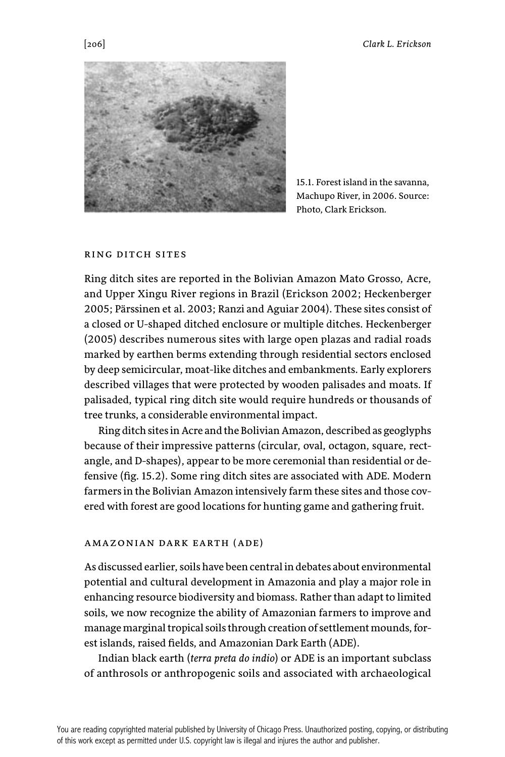

15.1. Forest island in the savanna, Machupo River, in 2006. Source: Photo, Clark Erickson.

### RING DITCH SITES

Ring ditch sites are reported in the Bolivian Amazon Mato Grosso, Acre, and Upper Xingu River regions in Brazil (Erickson 2002; Heckenberger 2005; Pärssinen et al. 2003; Ranzi and Aguiar 2004). These sites consist of a closed or U-shaped ditched enclosure or multiple ditches. Heckenberger (2005) describes numerous sites with large open plazas and radial roads marked by earthen berms extending through residential sectors enclosed by deep semicircular, moat-like ditches and embankments. Early explorers described villages that were protected by wooden palisades and moats. If palisaded, typical ring ditch site would require hundreds or thousands of tree trunks, a considerable environmental impact.

Ring ditch sites in Acre and the Bolivian Amazon, described as geoglyphs because of their impressive patterns (circular, oval, octagon, square, rectangle, and D-shapes), appear to be more ceremonial than residential or defensive (fig. 15.2). Some ring ditch sites are associated with ADE. Modern farmers in the Bolivian Amazon intensively farm these sites and those covered with forest are good locations for hunting game and gathering fruit.

### AMAZONIAN DARK EARTH (ADE)

As discussed earlier, soils have been central in debates about environmental potential and cultural development in Amazonia and play a major role in enhancing resource biodiversity and biomass. Rather than adapt to limited soils, we now recognize the ability of Amazonian farmers to improve and manage marginal tropical soils through creation of settlement mounds, forest islands, raised fields, and Amazonian Dark Earth (ADE).

Indian black earth (*terra preta do indio*) or ADE is an important subclass of anthrosols or anthropogenic soils and associated with archaeological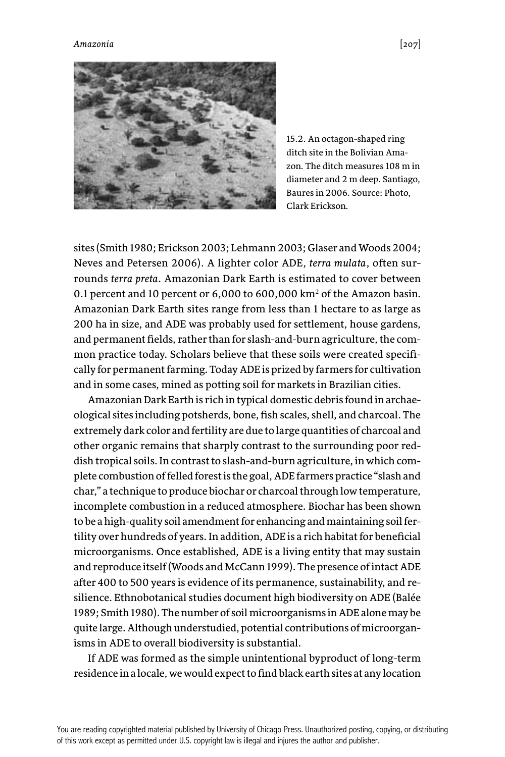#### *Amazonia* [207]



15.2. An octagon-shaped ring ditch site in the Bolivian Amazon. The ditch measures 108 m in diameter and 2 m deep. Santiago, Baures in 2006. Source: Photo, Clark Erickson.

sites (Smith 1980; Erickson 2003; Lehmann 2003; Glaser and Woods 2004; Neves and Petersen 2006). A lighter color ADE, *terra mulata*, often surrounds *terra preta*. Amazonian Dark Earth is estimated to cover between 0.1 percent and 10 percent or 6,000 to 600,000 km2 of the Amazon basin. Amazonian Dark Earth sites range from less than 1 hectare to as large as 200 ha in size, and ADE was probably used for settlement, house gardens, and permanent fields, rather than for slash-and-burn agriculture, the common practice today. Scholars believe that these soils were created specifically for permanent farming. Today ADE is prized by farmers for cultivation and in some cases, mined as potting soil for markets in Brazilian cities.

Amazonian Dark Earth is rich in typical domestic debris found in archaeological sites including potsherds, bone, fish scales, shell, and charcoal. The extremely dark color and fertility are due to large quantities of charcoal and other organic remains that sharply contrast to the surrounding poor reddish tropical soils. In contrast to slash- and- burn agriculture, in which complete combustion of felled forest is the goal, ADE farmers practice "slash and char," a technique to produce biochar or charcoal through low temperature, incomplete combustion in a reduced atmosphere. Biochar has been shown to be a high- quality soil amendment for enhancing and maintaining soil fertility over hundreds of years. In addition, ADE is a rich habitat for beneficial microorganisms. Once established, ADE is a living entity that may sustain and reproduce itself (Woods and McCann 1999). The presence of intact ADE after 400 to 500 years is evidence of its permanence, sustainability, and resilience. Ethnobotanical studies document high biodiversity on ADE (Balée 1989; Smith 1980). The number of soil microorganisms in ADE alone may be quite large. Although understudied, potential contributions of microorganisms in ADE to overall biodiversity is substantial.

If ADE was formed as the simple unintentional byproduct of long- term residence in a locale, we would expect to find black earth sites at any location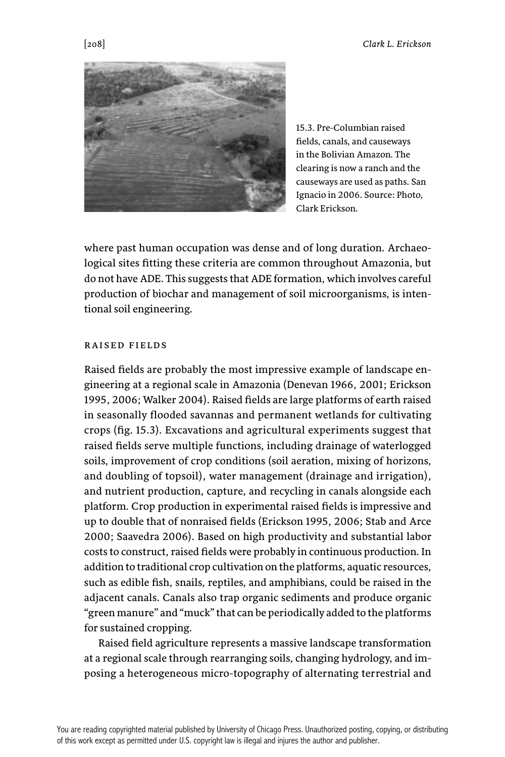

15.3. Pre-Columbian raised fields, canals, and causeways in the Bolivian Amazon. The clearing is now a ranch and the causeways are used as paths. San Ignacio in 2006. Source: Photo, Clark Erickson.

where past human occupation was dense and of long duration. Archaeological sites fitting these criteria are common throughout Amazonia, but do not have ADE. This suggests that ADE formation, which involves careful production of biochar and management of soil microorganisms, is intentional soil engineering.

### raised fields

Raised fields are probably the most impressive example of landscape engineering at a regional scale in Amazonia (Denevan 1966, 2001; Erickson 1995, 2006; Walker 2004). Raised fields are large platforms of earth raised in seasonally flooded savannas and permanent wetlands for cultivating crops (fig. 15.3). Excavations and agricultural experiments suggest that raised fields serve multiple functions, including drainage of waterlogged soils, improvement of crop conditions (soil aeration, mixing of horizons, and doubling of topsoil), water management (drainage and irrigation), and nutrient production, capture, and recycling in canals alongside each platform. Crop production in experimental raised fields is impressive and up to double that of nonraised fields (Erickson 1995, 2006; Stab and Arce 2000; Saavedra 2006). Based on high productivity and substantial labor costs to construct, raised fields were probably in continuous production. In addition to traditional crop cultivation on the platforms, aquatic resources, such as edible fish, snails, reptiles, and amphibians, could be raised in the adjacent canals. Canals also trap organic sediments and produce organic "green manure" and "muck" that can be periodically added to the platforms for sustained cropping.

Raised field agriculture represents a massive landscape transformation at a regional scale through rearranging soils, changing hydrology, and imposing a heterogeneous micro- topography of alternating terrestrial and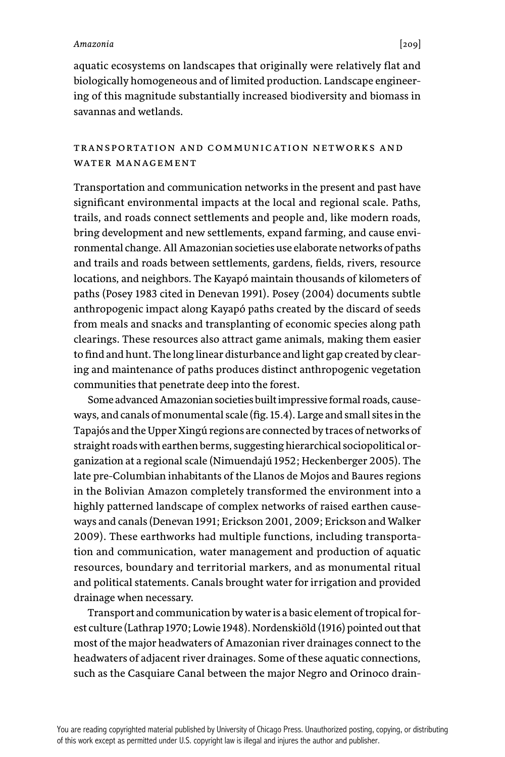#### *Amazonia* [209]

aquatic ecosystems on landscapes that originally were relatively flat and biologically homogeneous and of limited production. Landscape engineering of this magnitude substantially increased biodiversity and biomass in savannas and wetlands.

# TRAN SPORTATION AND COMMUNICATION NETWORKS AND WATER MANAGEMENT

Transportation and communication networks in the present and past have significant environmental impacts at the local and regional scale. Paths, trails, and roads connect settlements and people and, like modern roads, bring development and new settlements, expand farming, and cause environmental change. All Amazonian societies use elaborate networks of paths and trails and roads between settlements, gardens, fields, rivers, resource locations, and neighbors. The Kayapó maintain thousands of kilometers of paths (Posey 1983 cited in Denevan 1991). Posey (2004) documents subtle anthropogenic impact along Kayapó paths created by the discard of seeds from meals and snacks and transplanting of economic species along path clearings. These resources also attract game animals, making them easier to find and hunt. The long linear disturbance and light gap created by clearing and maintenance of paths produces distinct anthropogenic vegetation communities that penetrate deep into the forest.

Some advanced Amazonian societies built impressive formal roads, causeways, and canals of monumental scale (fig. 15.4). Large and small sites in the Tapajós and the Upper Xingú regions are connected by traces of networks of straight roads with earthen berms, suggesting hierarchical sociopolitical organization at a regional scale (Nimuendajú 1952; Heckenberger 2005). The late pre-Columbian inhabitants of the Llanos de Mojos and Baures regions in the Bolivian Amazon completely transformed the environment into a highly patterned landscape of complex networks of raised earthen causeways and canals (Denevan 1991; Erickson 2001, 2009; Erickson and Walker 2009). These earthworks had multiple functions, including transportation and communication, water management and production of aquatic resources, boundary and territorial markers, and as monumental ritual and political statements. Canals brought water for irrigation and provided drainage when necessary.

 Transport and communication by water is a basic element of tropical forest culture (Lathrap 1970; Lowie 1948). Nordenskiöld (1916) pointed out that most of the major headwaters of Amazonian river drainages connect to the headwaters of adjacent river drainages. Some of these aquatic connections, such as the Casquiare Canal between the major Negro and Orinoco drain-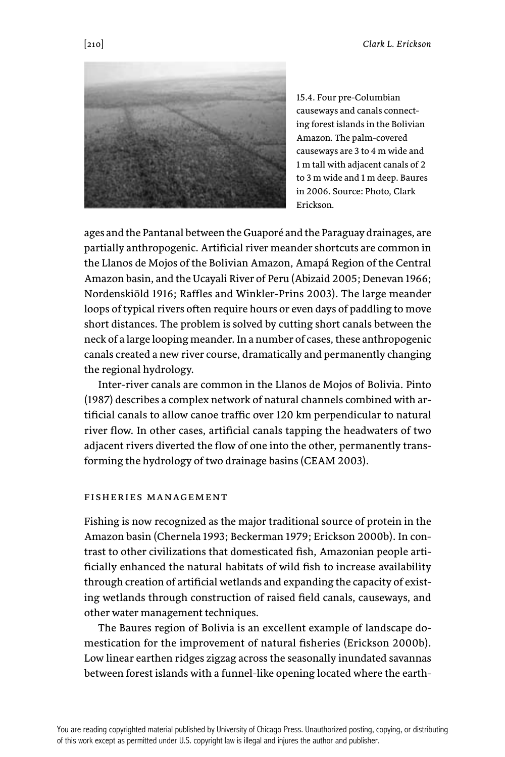

15.4. Four pre-Columbian causeways and canals connecting forest islands in the Bolivian Amazon. The palm-covered causeways are 3 to 4 m wide and 1 m tall with adjacent canals of 2 to 3 m wide and 1 m deep. Baures in 2006. Source: Photo, Clark Erickson.

ages and the Pantanal between the Guaporé and the Paraguay drainages, are partially anthropogenic. Artificial river meander shortcuts are common in the Llanos de Mojos of the Bolivian Amazon, Amapá Region of the Central Amazon basin, and the Ucayali River of Peru (Abizaid 2005; Denevan 1966; Nordenskiöld 1916; Raffles and Winkler-Prins 2003). The large meander loops of typical rivers often require hours or even days of paddling to move short distances. The problem is solved by cutting short canals between the neck of a large looping meander. In a number of cases, these anthropogenic canals created a new river course, dramatically and permanently changing the regional hydrology.

Inter- river canals are common in the Llanos de Mojos of Bolivia. Pinto (1987) describes a complex network of natural channels combined with artificial canals to allow canoe traffic over 120 km perpendicular to natural river flow. In other cases, artificial canals tapping the headwaters of two adjacent rivers diverted the flow of one into the other, permanently transforming the hydrology of two drainage basins (CEAM 2003).

#### fisheries management

Fishing is now recognized as the major traditional source of protein in the Amazon basin (Chernela 1993; Beckerman 1979; Erickson 2000b). In contrast to other civilizations that domesticated fish, Amazonian people artificially enhanced the natural habitats of wild fish to increase availability through creation of artificial wetlands and expanding the capacity of existing wetlands through construction of raised field canals, causeways, and other water management techniques.

The Baures region of Bolivia is an excellent example of landscape domestication for the improvement of natural fisheries (Erickson 2000b). Low linear earthen ridges zigzag across the seasonally inundated savannas between forest islands with a funnel-like opening located where the earth-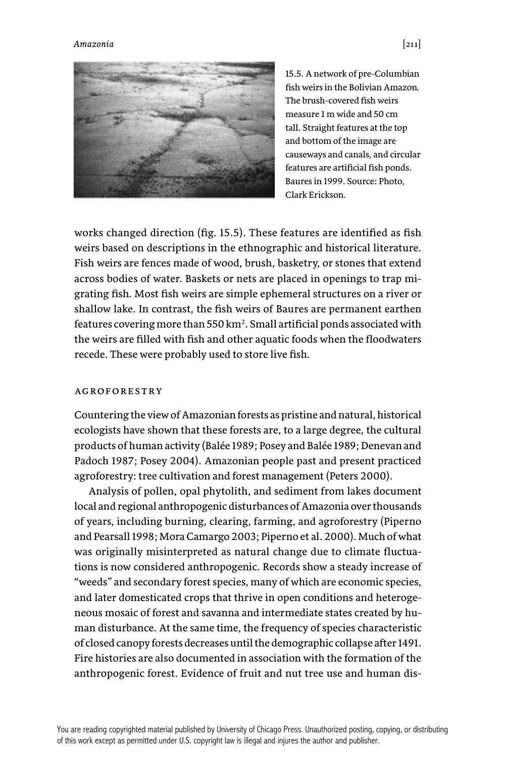#### *Amazonia* [211]



15.5. A network of pre-Columbian fish weirs in the Bolivian Amazon. The brush-covered fish weirs measure 1 m wide and 50 cm tall. Straight features at the top and bottom of the image are causeways and canals, and circular features are artificial fish ponds. Baures in 1999. Source: Photo, Clark Erickson.

works changed direction (fig. 15.5). These features are identified as fish weirs based on descriptions in the ethnographic and historical literature. Fish weirs are fences made of wood, brush, basketry, or stones that extend across bodies of water. Baskets or nets are placed in openings to trap migrating fish. Most fish weirs are simple ephemeral structures on a river or shallow lake. In contrast, the fish weirs of Baures are permanent earthen features covering more than 550  $km<sup>2</sup>$ . Small artificial ponds associated with the weirs are filled with fish and other aquatic foods when the floodwaters recede. These were probably used to store live fish.

#### agroforestry

Countering the view of Amazonian forests as pristine and natural, historical ecologists have shown that these forests are, to a large degree, the cultural products of human activity (Balée 1989; Posey and Balée 1989; Denevan and Padoch 1987; Posey 2004). Amazonian people past and present practiced agroforestry: tree cultivation and forest management (Peters 2000).

Analysis of pollen, opal phytolith, and sediment from lakes document local and regional anthropogenic disturbances of Amazonia over thousands of years, including burning, clearing, farming, and agroforestry (Piperno and Pearsall 1998; Mora Camargo 2003; Piperno et al. 2000). Much of what was originally misinterpreted as natural change due to climate fluctuations is now considered anthropogenic. Records show a steady increase of "weeds" and secondary forest species, many of which are economic species, and later domesticated crops that thrive in open conditions and heterogeneous mosaic of forest and savanna and intermediate states created by human disturbance. At the same time, the frequency of species characteristic of closed canopy forests decreases until the demographic collapse after 1491. Fire histories are also documented in association with the formation of the anthropogenic forest. Evidence of fruit and nut tree use and human dis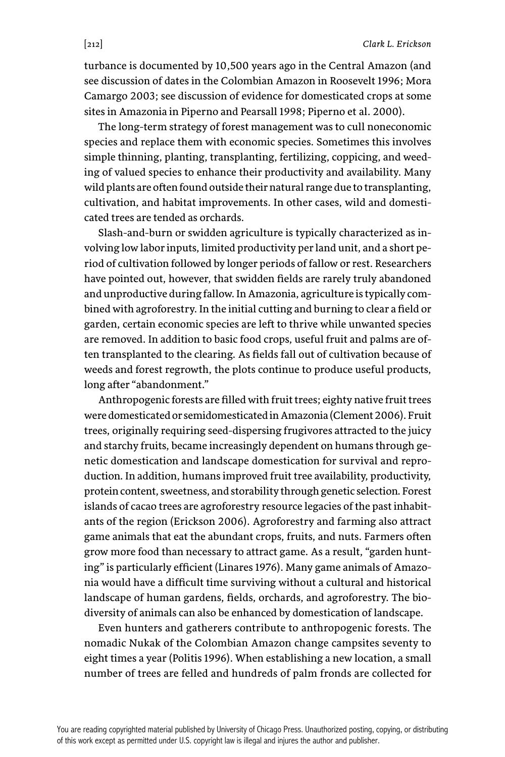turbance is documented by 10,500 years ago in the Central Amazon (and see discussion of dates in the Colombian Amazon in Roosevelt 1996; Mora Camargo 2003; see discussion of evidence for domesticated crops at some sites in Amazonia in Piperno and Pearsall 1998; Piperno et al. 2000).

The long- term strategy of forest management was to cull noneconomic species and replace them with economic species. Sometimes this involves simple thinning, planting, transplanting, fertilizing, coppicing, and weeding of valued species to enhance their productivity and availability. Many wild plants are often found outside their natural range due to transplanting, cultivation, and habitat improvements. In other cases, wild and domesticated trees are tended as orchards.

Slash-and-burn or swidden agriculture is typically characterized as involving low labor inputs, limited productivity per land unit, and a short period of cultivation followed by longer periods of fallow or rest. Researchers have pointed out, however, that swidden fields are rarely truly abandoned and unproductive during fallow. In Amazonia, agriculture is typically combined with agroforestry. In the initial cutting and burning to clear a field or garden, certain economic species are left to thrive while unwanted species are removed. In addition to basic food crops, useful fruit and palms are often transplanted to the clearing. As fields fall out of cultivation because of weeds and forest regrowth, the plots continue to produce useful products, long after "abandonment."

Anthropogenic forests are filled with fruit trees; eighty native fruit trees were domesticated or semidomesticated in Amazonia (Clement 2006). Fruit trees, originally requiring seed-dispersing frugivores attracted to the juicy and starchy fruits, became increasingly dependent on humans through genetic domestication and landscape domestication for survival and reproduction. In addition, humans improved fruit tree availability, productivity, protein content, sweetness, and storability through genetic selection. Forest islands of cacao trees are agroforestry resource legacies of the past inhabitants of the region (Erickson 2006). Agroforestry and farming also attract game animals that eat the abundant crops, fruits, and nuts. Farmers often grow more food than necessary to attract game. As a result, "garden hunting" is particularly efficient (Linares 1976). Many game animals of Amazonia would have a difficult time surviving without a cultural and historical landscape of human gardens, fields, orchards, and agroforestry. The biodiversity of animals can also be enhanced by domestication of landscape.

Even hunters and gatherers contribute to anthropogenic forests. The nomadic Nukak of the Colombian Amazon change campsites seventy to eight times a year (Politis 1996). When establishing a new location, a small number of trees are felled and hundreds of palm fronds are collected for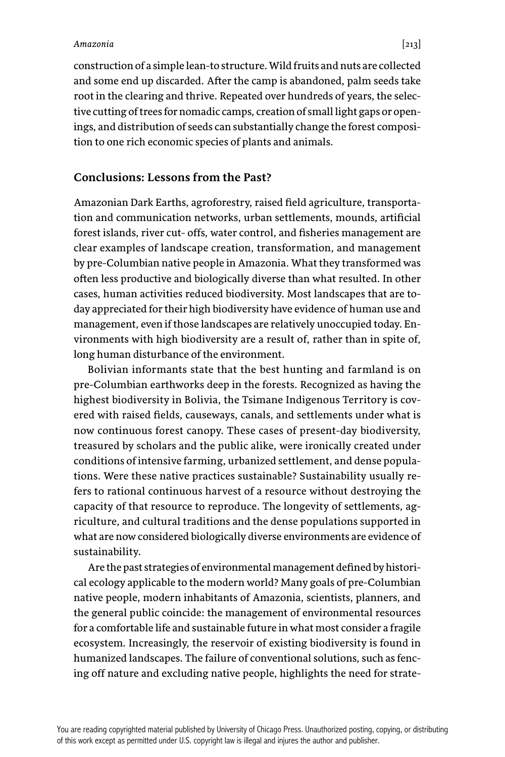construction of a simple lean- to structure. Wild fruits and nuts are collected and some end up discarded. After the camp is abandoned, palm seeds take root in the clearing and thrive. Repeated over hundreds of years, the selective cutting of trees for nomadic camps, creation of small light gaps or openings, and distribution of seeds can substantially change the forest composition to one rich economic species of plants and animals.

# **Conclusions: Lessons from the Past?**

Amazonian Dark Earths, agroforestry, raised field agriculture, transportation and communication networks, urban settlements, mounds, artificial forest islands, river cut- offs, water control, and fisheries management are clear examples of landscape creation, transformation, and management by pre- Columbian native people in Amazonia. What they transformed was often less productive and biologically diverse than what resulted. In other cases, human activities reduced biodiversity. Most landscapes that are today appreciated for their high biodiversity have evidence of human use and management, even if those landscapes are relatively unoccupied today. Environments with high biodiversity are a result of, rather than in spite of, long human disturbance of the environment.

Bolivian informants state that the best hunting and farmland is on pre- Columbian earthworks deep in the forests. Recognized as having the highest biodiversity in Bolivia, the Tsimane Indigenous Territory is covered with raised fields, causeways, canals, and settlements under what is now continuous forest canopy. These cases of present- day biodiversity, treasured by scholars and the public alike, were ironically created under conditions of intensive farming, urbanized settlement, and dense populations. Were these native practices sustainable? Sustainability usually refers to rational continuous harvest of a resource without destroying the capacity of that resource to reproduce. The longevity of settlements, agriculture, and cultural traditions and the dense populations supported in what are now considered biologically diverse environments are evidence of sustainability.

Are the past strategies of environmental management defined by historical ecology applicable to the modern world? Many goals of pre-Columbian native people, modern inhabitants of Amazonia, scientists, planners, and the general public coincide: the management of environmental resources for a comfortable life and sustainable future in what most consider a fragile ecosystem. Increasingly, the reservoir of existing biodiversity is found in humanized landscapes. The failure of conventional solutions, such as fencing off nature and excluding native people, highlights the need for strate